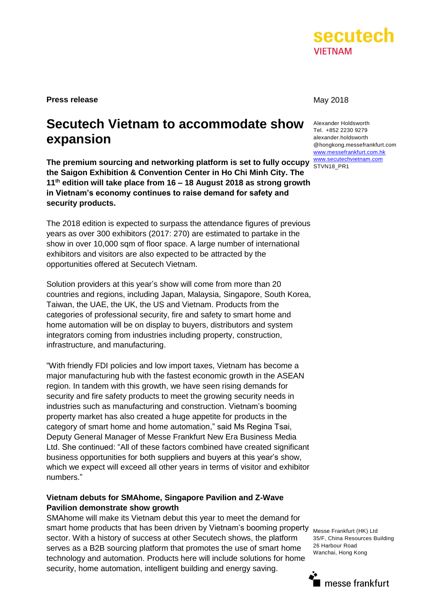

**Press release** May 2018

## **Secutech Vietnam to accommodate show expansion**

The premium sourcing and networking platform is set to fully occupy **www.secutechvietnam.com the Saigon Exhibition & Convention Center in Ho Chi Minh City. The 11th edition will take place from 16 – 18 August 2018 as strong growth in Vietnam's economy continues to raise demand for safety and security products.** 

The 2018 edition is expected to surpass the attendance figures of previous years as over 300 exhibitors (2017: 270) are estimated to partake in the show in over 10,000 sqm of floor space. A large number of international exhibitors and visitors are also expected to be attracted by the opportunities offered at Secutech Vietnam.

Solution providers at this year's show will come from more than 20 countries and regions, including Japan, Malaysia, Singapore, South Korea, Taiwan, the UAE, the UK, the US and Vietnam. Products from the categories of professional security, fire and safety to smart home and home automation will be on display to buyers, distributors and system integrators coming from industries including property, construction, infrastructure, and manufacturing.

"With friendly FDI policies and low import taxes, Vietnam has become a major manufacturing hub with the fastest economic growth in the ASEAN region. In tandem with this growth, we have seen rising demands for security and fire safety products to meet the growing security needs in industries such as manufacturing and construction. Vietnam's booming property market has also created a huge appetite for products in the category of smart home and home automation," said Ms Regina Tsai, Deputy General Manager of Messe Frankfurt New Era Business Media Ltd. She continued: "All of these factors combined have created significant business opportunities for both suppliers and buyers at this year's show, which we expect will exceed all other years in terms of visitor and exhibitor numbers."

## **Vietnam debuts for SMAhome, Singapore Pavilion and Z-Wave Pavilion demonstrate show growth**

SMAhome will make its Vietnam debut this year to meet the demand for smart home products that has been driven by Vietnam's booming property sector. With a history of success at other Secutech shows, the platform serves as a B2B sourcing platform that promotes the use of smart home technology and automation. Products here will include solutions for home security, home automation, intelligent building and energy saving.

Alexander Holdsworth Tel. +852 2230 9279 alexander.holdsworth @hongkong.messefrankfurt.com [www.messefrankfurt.com.hk](http://www.messefrankfurt.com.hk/) STVN18\_PR1

Messe Frankfurt (HK) Ltd 35/F, China Resources Building 26 Harbour Road Wanchai, Hong Kong

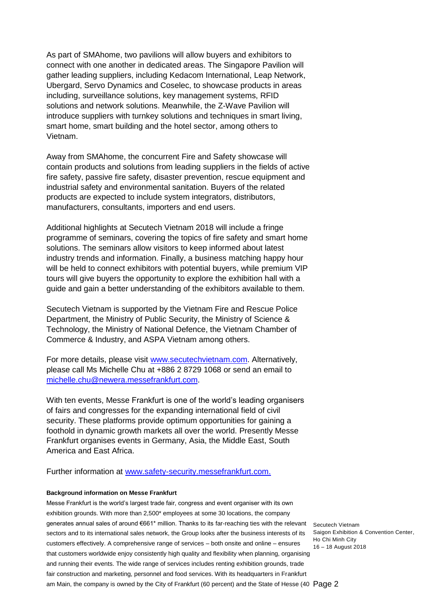As part of SMAhome, two pavilions will allow buyers and exhibitors to connect with one another in dedicated areas. The Singapore Pavilion will gather leading suppliers, including Kedacom International, Leap Network, Ubergard, Servo Dynamics and Coselec, to showcase products in areas including, surveillance solutions, key management systems, RFID solutions and network solutions. Meanwhile, the Z-Wave Pavilion will introduce suppliers with turnkey solutions and techniques in smart living, smart home, smart building and the hotel sector, among others to Vietnam.

Away from SMAhome, the concurrent Fire and Safety showcase will contain products and solutions from leading suppliers in the fields of active fire safety, passive fire safety, disaster prevention, rescue equipment and industrial safety and environmental sanitation. Buyers of the related products are expected to include system integrators, distributors, manufacturers, consultants, importers and end users.

Additional highlights at Secutech Vietnam 2018 will include a fringe programme of seminars, covering the topics of fire safety and smart home solutions. The seminars allow visitors to keep informed about latest industry trends and information. Finally, a business matching happy hour will be held to connect exhibitors with potential buyers, while premium VIP tours will give buyers the opportunity to explore the exhibition hall with a guide and gain a better understanding of the exhibitors available to them.

Secutech Vietnam is supported by the Vietnam Fire and Rescue Police Department, the Ministry of Public Security, the Ministry of Science & Technology, the Ministry of National Defence, the Vietnam Chamber of Commerce & Industry, and ASPA Vietnam among others.

For more details, please visit [www.secutechvietnam.com.](http://www.secutechvietnam.com/) Alternatively, please call Ms Michelle Chu at +886 2 8729 1068 or send an email to [michelle.chu@newera.messefrankfurt.com.](mailto:michelle.chu@newera.messefrankfurt.com)

With ten events, Messe Frankfurt is one of the world's leading organisers of fairs and congresses for the expanding international field of civil security. These platforms provide optimum opportunities for gaining a foothold in dynamic growth markets all over the world. Presently Messe Frankfurt organises events in Germany, Asia, the Middle East, South America and East Africa.

Further information at [www.safety-security.messefrankfurt.com.](http://www.safety-security.messefrankfurt.com/)

## **Background information on Messe Frankfurt**

generates annual sales of around €661\* million. Thanks to its far-reaching ties with the relevant secutech Vietnam Messe Frankfurt is the world's largest trade fair, congress and event organiser with its own exhibition grounds. With more than 2,500<sup>\*</sup> employees at some 30 locations, the company sectors and to its international sales network, the Group looks after the business interests of its customers effectively. A comprehensive range of services – both onsite and online – ensures that customers worldwide enjoy consistently high quality and flexibility when planning, organising and running their events. The wide range of services includes renting exhibition grounds, trade fair construction and marketing, personnel and food services. With its headquarters in Frankfurt

Saigon Exhibition & Convention Center, Ho Chi Minh City 16 – 18 August 2018

am Main, the company is owned by the City of Frankfurt (60 percent) and the State of Hesse (40  $\degree$  Pa $g$ e  $2$